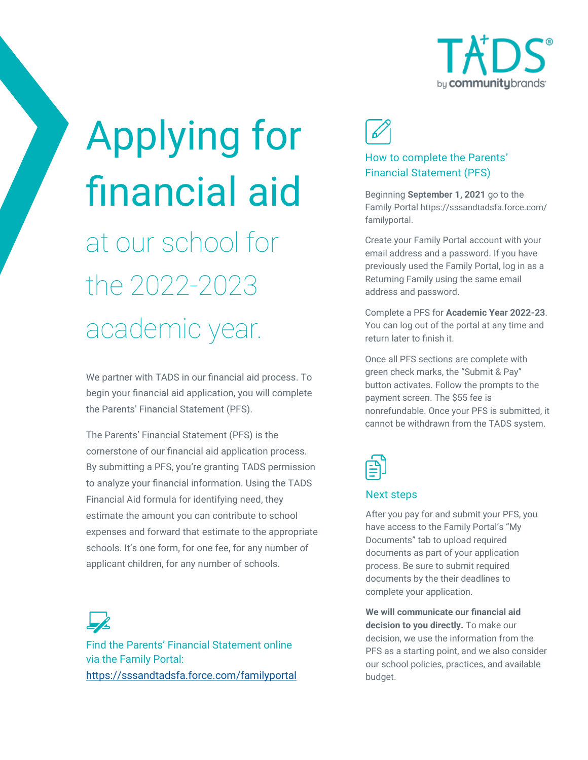

# Applying for financial aid at our school for

the 2022-2023 academic year.

We partner with TADS in our financial aid process. To begin your financial aid application, you will complete the Parents' Financial Statement (PFS).

The Parents' Financial Statement (PFS) is the cornerstone of our financial aid application process. By submitting a PFS, you're granting TADS permission to analyze your financial information. Using the TADS Financial Aid formula for identifying need, they estimate the amount you can contribute to school expenses and forward that estimate to the appropriate schools. It's one form, for one fee, for any number of applicant children, for any number of schools.

Find the Parents' Financial Statement online via the Family Portal: <https://sssandtadsfa.force.com/familyportal>



## How to complete the Parents' Financial Statement (PFS)

Beginning **September 1, 2021** go to the Family Portal https://sssandtadsfa.force.com/ familyportal.

Create your Family Portal account with your email address and a password. If you have previously used the Family Portal, log in as a Returning Family using the same email address and password.

Complete a PFS for **Academic Year 2022-23**. You can log out of the portal at any time and return later to finish it.

Once all PFS sections are complete with green check marks, the "Submit & Pay" button activates. Follow the prompts to the payment screen. The \$55 fee is nonrefundable. Once your PFS is submitted, it cannot be withdrawn from the TADS system.



### Next steps

After you pay for and submit your PFS, you have access to the Family Portal's "My Documents" tab to upload required documents as part of your application process. Be sure to submit required documents by the their deadlines to complete your application.

**We will communicate our financial aid decision to you directly.** To make our decision, we use the information from the PFS as a starting point, and we also consider our school policies, practices, and available budget.